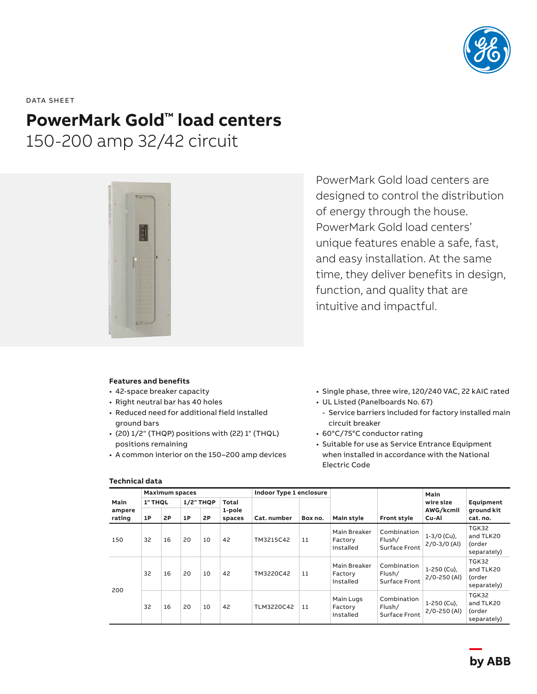

DATA SHEET

# **PowerMark Gold™ load centers**

150-200 amp 32/42 circuit



PowerMark Gold load centers are designed to control the distribution of energy through the house. PowerMark Gold load centers' unique features enable a safe, fast, and easy installation. At the same time, they deliver benefits in design, function, and quality that are intuitive and impactful.

### **Features and benefits**

- 42-space breaker capacity
- Right neutral bar has 40 holes
- Reduced need for additional field installed ground bars
- (20) 1/2" (THQP) positions with (22) 1" (THQL) positions remaining
- A common interior on the 150–200 amp devices
- Single phase, three wire, 120/240 VAC, 22 kAIC rated
- UL Listed (Panelboards No. 67)
- Service barriers included for factory installed main circuit breaker
- 60°C/75°C conductor rating
- Suitable for use as Service Entrance Equipment when installed in accordance with the National Electric Code

|                          | <b>Maximum spaces</b> |    |                  |    |                  | Indoor Type 1 enclosure |         |                                      |                                               | Main                            |                                             |
|--------------------------|-----------------------|----|------------------|----|------------------|-------------------------|---------|--------------------------------------|-----------------------------------------------|---------------------------------|---------------------------------------------|
| Main<br>ampere<br>rating | 1" THOL               |    | <b>1/2" THQP</b> |    | Total            |                         |         |                                      |                                               | wire size                       | Equipment                                   |
|                          | 1P                    | 2P | 1P               | 2P | 1-pole<br>spaces | Cat. number             | Box no. | Main style                           | <b>Front style</b>                            | AWG/kcmil<br>Cu-Al              | ground kit<br>cat. no.                      |
| 150                      | 32                    | 16 | 20               | 10 | 42               | TM3215C42               | 11      | Main Breaker<br>Factory<br>Installed | Combination<br>Flush/<br><b>Surface Front</b> | $1-3/0$ (Cu),<br>$2/0-3/0$ (AI) | TGK32<br>and TLK20<br>(order<br>separately) |
| 200                      | 32                    | 16 | 20               | 10 | 42               | TM3220C42               | 11      | Main Breaker<br>Factory<br>Installed | Combination<br>Flush/<br><b>Surface Front</b> | 1-250 (Cu),<br>$2/0 - 250$ (Al) | TGK32<br>and TLK20<br>(order<br>separately) |
|                          | 32                    | 16 | 20               | 10 | 42               | TLM3220C42              | 11      | Main Lugs<br>Factory<br>Installed    | Combination<br>Flush/<br><b>Surface Front</b> | 1-250 (Cu),<br>$2/0 - 250$ (Al) | TGK32<br>and TLK20<br>(order<br>separately) |

### **Technical data**